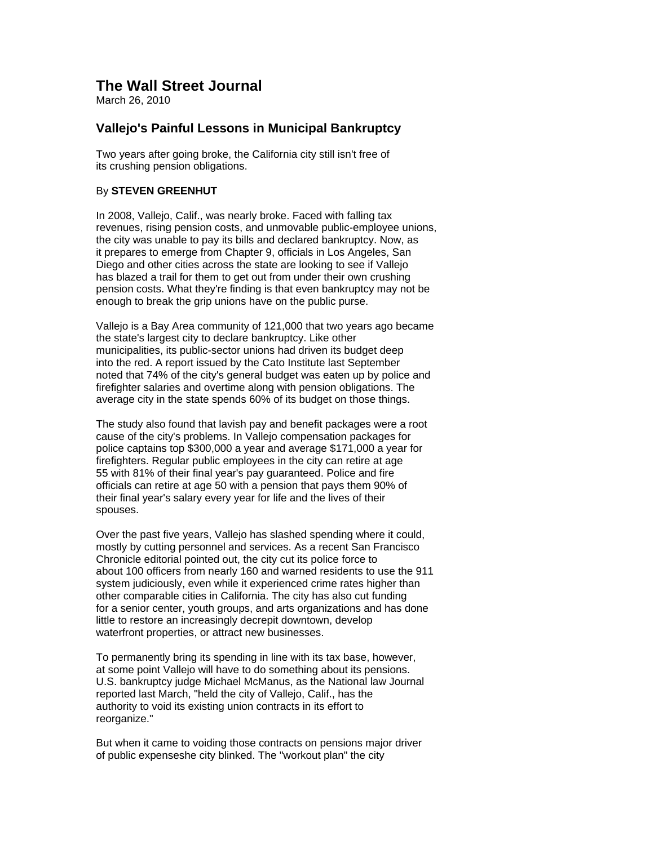## **The Wall Street Journal**

March 26, 2010

## **Vallejo's Painful Lessons in Municipal Bankruptcy**

Two years after going broke, the California city still isn't free of its crushing pension obligations.

## By **STEVEN GREENHUT**

In 2008, Vallejo, Calif., was nearly broke. Faced with falling tax revenues, rising pension costs, and unmovable public-employee unions, the city was unable to pay its bills and declared bankruptcy. Now, as it prepares to emerge from Chapter 9, officials in Los Angeles, San Diego and other cities across the state are looking to see if Vallejo has blazed a trail for them to get out from under their own crushing pension costs. What they're finding is that even bankruptcy may not be enough to break the grip unions have on the public purse.

Vallejo is a Bay Area community of 121,000 that two years ago became the state's largest city to declare bankruptcy. Like other municipalities, its public-sector unions had driven its budget deep into the red. A report issued by the Cato Institute last September noted that 74% of the city's general budget was eaten up by police and firefighter salaries and overtime along with pension obligations. The average city in the state spends 60% of its budget on those things.

The study also found that lavish pay and benefit packages were a root cause of the city's problems. In Vallejo compensation packages for police captains top \$300,000 a year and average \$171,000 a year for firefighters. Regular public employees in the city can retire at age 55 with 81% of their final year's pay guaranteed. Police and fire officials can retire at age 50 with a pension that pays them 90% of their final year's salary every year for life and the lives of their spouses.

Over the past five years, Vallejo has slashed spending where it could, mostly by cutting personnel and services. As a recent San Francisco Chronicle editorial pointed out, the city cut its police force to about 100 officers from nearly 160 and warned residents to use the 911 system judiciously, even while it experienced crime rates higher than other comparable cities in California. The city has also cut funding for a senior center, youth groups, and arts organizations and has done little to restore an increasingly decrepit downtown, develop waterfront properties, or attract new businesses.

To permanently bring its spending in line with its tax base, however, at some point Vallejo will have to do something about its pensions. U.S. bankruptcy judge Michael McManus, as the National law Journal reported last March, "held the city of Vallejo, Calif., has the authority to void its existing union contracts in its effort to reorganize."

But when it came to voiding those contracts on pensions major driver of public expenseshe city blinked. The "workout plan" the city